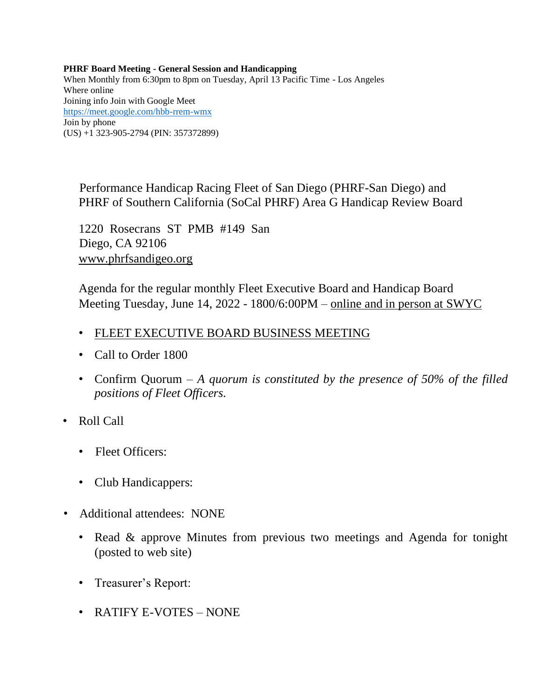**PHRF Board Meeting - General Session and Handicapping** When Monthly from 6:30pm to 8pm on Tuesday, April 13 Pacific Time - Los Angeles Where online Joining info Join with Google Meet <https://meet.google.com/hbb-rrem-wmx> Join by phone (US) +1 323-905-2794 (PIN: 357372899)

Performance Handicap Racing Fleet of San Diego (PHRF-San Diego) and PHRF of Southern California (SoCal PHRF) Area G Handicap Review Board

1220 Rosecrans ST PMB #149 San Diego, CA 92106 [www.phrfsandigeo.org](http://www.phrfsandigeo.org/)

Agenda for the regular monthly Fleet Executive Board and Handicap Board Meeting Tuesday, June 14, 2022 - 1800/6:00PM – online and in person at SWYC

- FLEET EXECUTIVE BOARD BUSINESS MEETING
- Call to Order 1800
- Confirm Quorum *A quorum is constituted by the presence of 50% of the filled positions of Fleet Officers.*
- Roll Call
	- Fleet Officers:
	- Club Handicappers:
- Additional attendees: NONE
	- Read & approve Minutes from previous two meetings and Agenda for tonight (posted to web site)
	- Treasurer's Report:
	- RATIFY E-VOTES NONE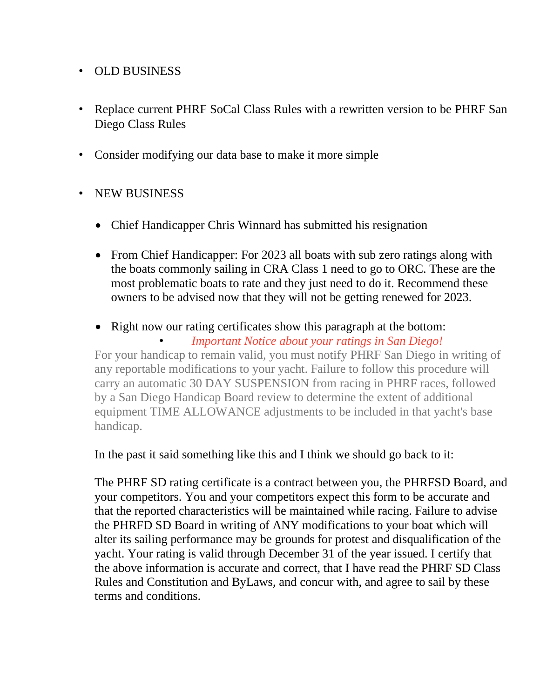## • OLD BUSINESS

- Replace current PHRF SoCal Class Rules with a rewritten version to be PHRF San Diego Class Rules
- Consider modifying our data base to make it more simple

## • NEW BUSINESS

- Chief Handicapper Chris Winnard has submitted his resignation
- From Chief Handicapper: For 2023 all boats with sub zero ratings along with the boats commonly sailing in CRA Class 1 need to go to ORC. These are the most problematic boats to rate and they just need to do it. Recommend these owners to be advised now that they will not be getting renewed for 2023.
- Right now our rating certificates show this paragraph at the bottom:

• *Important Notice about your ratings in San Diego!*

For your handicap to remain valid, you must notify PHRF San Diego in writing of any reportable modifications to your yacht. Failure to follow this procedure will carry an automatic 30 DAY SUSPENSION from racing in PHRF races, followed by a San Diego Handicap Board review to determine the extent of additional equipment TIME ALLOWANCE adjustments to be included in that yacht's base handicap.

In the past it said something like this and I think we should go back to it:

The PHRF SD rating certificate is a contract between you, the PHRFSD Board, and your competitors. You and your competitors expect this form to be accurate and that the reported characteristics will be maintained while racing. Failure to advise the PHRFD SD Board in writing of ANY modifications to your boat which will alter its sailing performance may be grounds for protest and disqualification of the yacht. Your rating is valid through December 31 of the year issued. I certify that the above information is accurate and correct, that I have read the PHRF SD Class Rules and Constitution and ByLaws, and concur with, and agree to sail by these terms and conditions.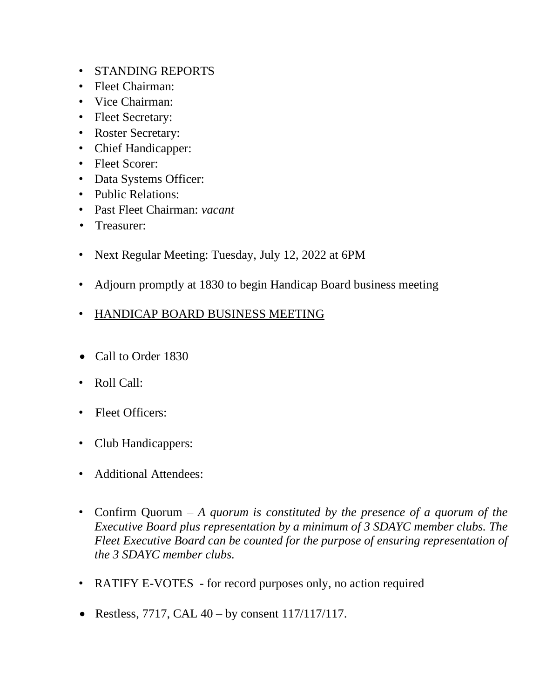- STANDING REPORTS
- Fleet Chairman:
- Vice Chairman:
- Fleet Secretary:
- Roster Secretary:
- Chief Handicapper:
- Fleet Scorer:
- Data Systems Officer:
- Public Relations:
- Past Fleet Chairman: *vacant*
- Treasurer:
- Next Regular Meeting: Tuesday, July 12, 2022 at 6PM
- Adjourn promptly at 1830 to begin Handicap Board business meeting
- HANDICAP BOARD BUSINESS MEETING
- Call to Order 1830
- Roll Call:
- Fleet Officers:
- Club Handicappers:
- Additional Attendees:
- Confirm Quorum *A quorum is constituted by the presence of a quorum of the Executive Board plus representation by a minimum of 3 SDAYC member clubs. The Fleet Executive Board can be counted for the purpose of ensuring representation of the 3 SDAYC member clubs.*
- RATIFY E-VOTES for record purposes only, no action required
- Restless, 7717, CAL  $40 by constant$  117/117/117.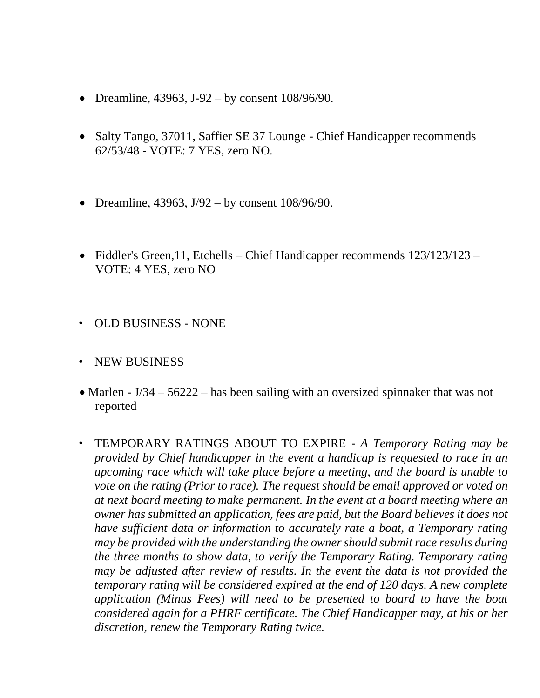- Dreamline,  $43963$ ,  $J-92 by constant 108/96/90$ .
- Salty Tango, 37011, Saffier SE 37 Lounge Chief Handicapper recommends 62/53/48 - VOTE: 7 YES, zero NO.
- Dreamline, 43963,  $J/92 by constant 108/96/90$ .
- Fiddler's Green, 11, Etchells Chief Handicapper recommends 123/123/123 VOTE: 4 YES, zero NO
- OLD BUSINESS NONE
- NEW BUSINESS
- Marlen J/34 56222 has been sailing with an oversized spinnaker that was not reported
- TEMPORARY RATINGS ABOUT TO EXPIRE *A Temporary Rating may be provided by Chief handicapper in the event a handicap is requested to race in an upcoming race which will take place before a meeting, and the board is unable to vote on the rating (Prior to race). The request should be email approved or voted on at next board meeting to make permanent. In the event at a board meeting where an owner has submitted an application, fees are paid, but the Board believes it does not have sufficient data or information to accurately rate a boat, a Temporary rating may be provided with the understanding the owner should submit race results during the three months to show data, to verify the Temporary Rating. Temporary rating may be adjusted after review of results. In the event the data is not provided the temporary rating will be considered expired at the end of 120 days. A new complete application (Minus Fees) will need to be presented to board to have the boat considered again for a PHRF certificate. The Chief Handicapper may, at his or her discretion, renew the Temporary Rating twice.*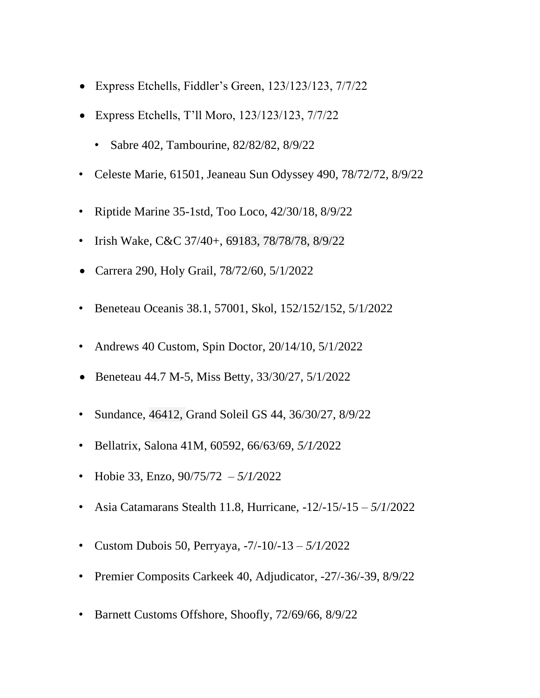- Express Etchells, Fiddler's Green, 123/123/123, 7/7/22
- Express Etchells, T'll Moro, 123/123/123, 7/7/22
	- Sabre 402, Tambourine, 82/82/82, 8/9/22
- Celeste Marie, 61501, Jeaneau Sun Odyssey 490, 78/72/72, 8/9/22
- Riptide Marine 35-1std, Too Loco, 42/30/18, 8/9/22
- Irish Wake, C&C 37/40+, 69183, 78/78/78, 8/9/22
- Carrera 290, Holy Grail, 78/72/60, 5/1/2022
- Beneteau Oceanis 38.1, 57001, Skol, 152/152/152, 5/1/2022
- Andrews 40 Custom, Spin Doctor, 20/14/10, 5/1/2022
- Beneteau 44.7 M-5, Miss Betty, 33/30/27, 5/1/2022
- Sundance, 46412, Grand Soleil GS 44, 36/30/27, 8/9/22
- Bellatrix, Salona 41M, 60592, 66/63/69, *5/1/*2022
- Hobie 33, Enzo, 90/75/72 *– 5/1/*2022
- Asia Catamarans Stealth 11.8, Hurricane, -12/-15/-15 *– 5/1*/2022
- Custom Dubois 50, Perryaya, -7/-10/-13 *– 5/1/*2022
- Premier Composits Carkeek 40, Adjudicator, -27/-36/-39, 8/9/22
- Barnett Customs Offshore, Shoofly, 72/69/66, 8/9/22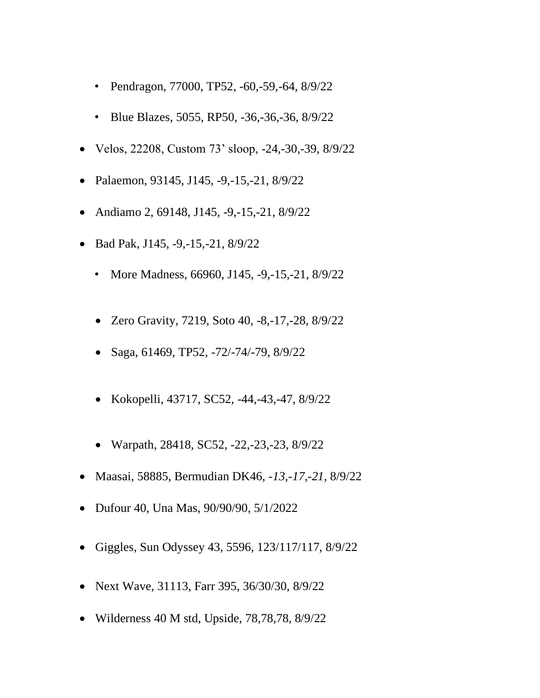- Pendragon, 77000, TP52, -60,-59,-64, 8/9/22
- Blue Blazes, 5055, RP50, -36, -36, -36, 8/9/22
- Velos, 22208, Custom 73' sloop, -24,-30,-39, 8/9/22
- Palaemon, 93145, J145, -9,-15,-21, 8/9/22
- Andiamo 2, 69148, J145, -9,-15,-21, 8/9/22
- Bad Pak, J145, -9,-15,-21, 8/9/22
	- More Madness, 66960, J145, -9, -15, -21, 8/9/22
	- Zero Gravity, 7219, Soto 40, -8,-17,-28, 8/9/22
	- Saga, 61469, TP52, -72/-74/-79, 8/9/22
	- Kokopelli, 43717, SC52, -44,-43,-47, 8/9/22
	- Warpath, 28418, SC52, -22,-23,-23, 8/9/22
- Maasai, 58885, Bermudian DK46, *-13,-17,-21,* 8/9/22
- Dufour 40, Una Mas, 90/90/90, 5/1/2022
- Giggles, Sun Odyssey 43, 5596, 123/117/117, 8/9/22
- Next Wave, 31113, Farr 395, 36/30/30, 8/9/22
- Wilderness 40 M std, Upside, 78,78,78, 8/9/22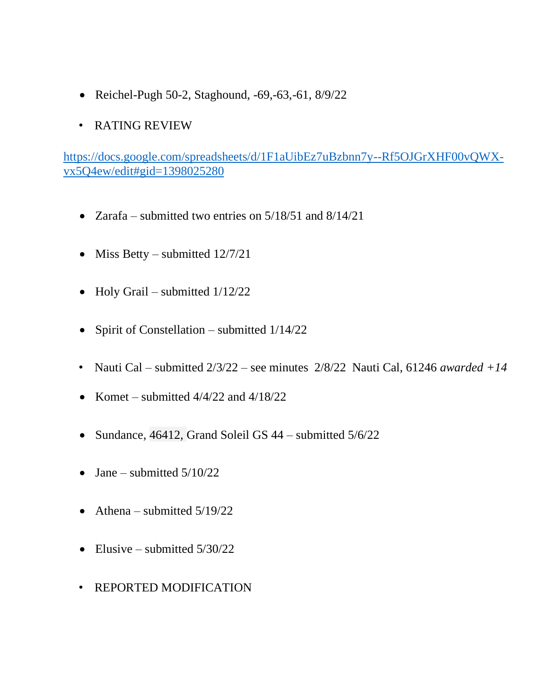- Reichel-Pugh 50-2, Staghound, -69,-63,-61, 8/9/22
- RATING REVIEW

[https://docs.google.com/spreadsheets/d/1F1aUibEz7uBzbnn7y--Rf5OJGrXHF00vQWX](https://docs.google.com/spreadsheets/d/1F1aUibEz7uBzbnn7y--Rf5OJGrXHF00vQWX-vx5Q4ew/edit#gid=1398025280)[vx5Q4ew/edit#gid=1398025280](https://docs.google.com/spreadsheets/d/1F1aUibEz7uBzbnn7y--Rf5OJGrXHF00vQWX-vx5Q4ew/edit#gid=1398025280)

- Zarafa submitted two entries on  $5/18/51$  and  $8/14/21$
- Miss Betty submitted  $12/7/21$
- Holy Grail submitted  $1/12/22$
- Spirit of Constellation submitted  $1/14/22$
- Nauti Cal submitted 2/3/22 see minutes 2/8/22 Nauti Cal, 61246 *awarded +14*
- Komet submitted  $4/4/22$  and  $4/18/22$
- Sundance, 46412, Grand Soleil GS 44 submitted 5/6/22
- Jane submitted  $5/10/22$
- Athena submitted  $5/19/22$
- Elusive submitted  $5/30/22$
- REPORTED MODIFICATION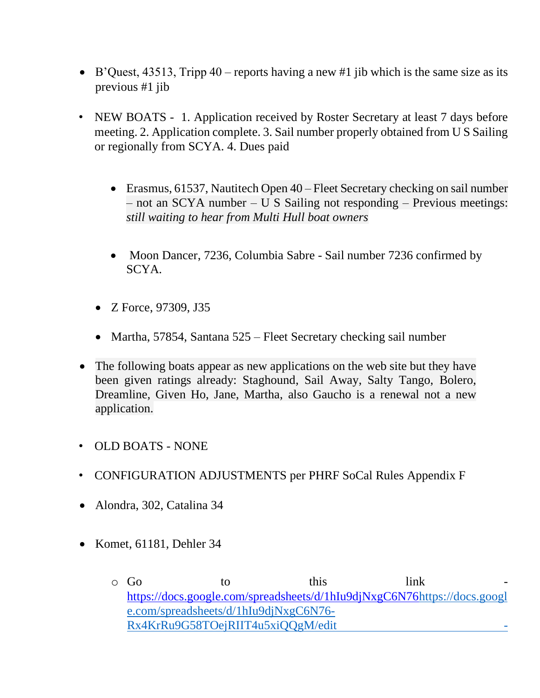- B'Quest, 43513, Tripp 40 reports having a new #1 jib which is the same size as its previous #1 jib
- NEW BOATS 1. Application received by Roster Secretary at least 7 days before meeting. 2. Application complete. 3. Sail number properly obtained from U S Sailing or regionally from SCYA. 4. Dues paid
	- Erasmus, 61537, Nautitech Open 40 Fleet Secretary checking on sail number – not an SCYA number – U S Sailing not responding – Previous meetings: *still waiting to hear from Multi Hull boat owners*
	- Moon Dancer, 7236, Columbia Sabre Sail number 7236 confirmed by SCYA.
	- Z Force, 97309, J35
	- Martha, 57854, Santana 525 Fleet Secretary checking sail number
- The following boats appear as new applications on the web site but they have been given ratings already: Staghound, Sail Away, Salty Tango, Bolero, Dreamline, Given Ho, Jane, Martha, also Gaucho is a renewal not a new application.
- OLD BOATS NONE
- CONFIGURATION ADJUSTMENTS per PHRF SoCal Rules Appendix F
- Alondra, 302, Catalina 34
- Komet, 61181, Dehler 34

o Go to this link [https://docs.google.com/spreadsheets/d/1hIu9djNxgC6N76https://docs.googl](https://docs.google.com/spreadsheets/d/1hIu9djNxgC6N76-Rx4KrRu9G58TOejRIIT4u5xiQQgM/edit#gid=1576636413) [e.com/spreadsheets/d/1hIu9djNxgC6N76-](https://docs.google.com/spreadsheets/d/1hIu9djNxgC6N76-Rx4KrRu9G58TOejRIIT4u5xiQQgM/edit#gid=1576636413) [Rx4KrRu9G58TOejRIIT4u5xiQQgM/edit -](https://docs.google.com/spreadsheets/d/1hIu9djNxgC6N76-Rx4KrRu9G58TOejRIIT4u5xiQQgM/edit#gid=1576636413)